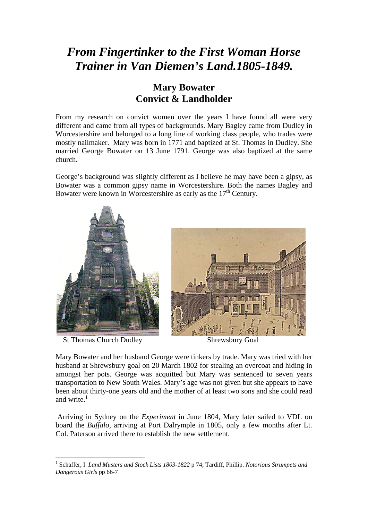## *From Fingertinker to the First Woman Horse Trainer in Van Diemen's Land.1805-1849.*

## **Mary Bowater Convict & Landholder**

From my research on convict women over the years I have found all were very different and came from all types of backgrounds. Mary Bagley came from Dudley in Worcestershire and belonged to a long line of working class people, who trades were mostly nailmaker. Mary was born in 1771 and baptized at St. Thomas in Dudley. She married George Bowater on 13 June 1791. George was also baptized at the same church.

George's background was slightly different as I believe he may have been a gipsy, as Bowater was a common gipsy name in Worcestershire. Both the names Bagley and Bowater were known in Worcestershire as early as the  $17<sup>th</sup>$  Century.



St Thomas Church Dudley Shrewsbury Goal



Mary Bowater and her husband George were tinkers by trade. Mary was tried with her husband at Shrewsbury goal on 20 March 1802 for stealing an overcoat and hiding in amongst her pots. George was acquitted but Mary was sentenced to seven years transportation to New South Wales. Mary's age was not given but she appears to have been about thirty-one years old and the mother of at least two sons and she could read and write. $<sup>1</sup>$ </sup>

 Arriving in Sydney on the *Experiment* in June 1804, Mary later sailed to VDL on board the *Buffalo,* arriving at Port Dalrymple in 1805, only a few months after Lt. Col. Paterson arrived there to establish the new settlement.

<sup>&</sup>lt;u>.</u> <sup>1</sup> Schaffer, I. *Land Musters and Stock Lists 1803-1822* p 74; Tardiff, Phillip. *Notorious Strumpets and Dangerous Girls* pp 66-7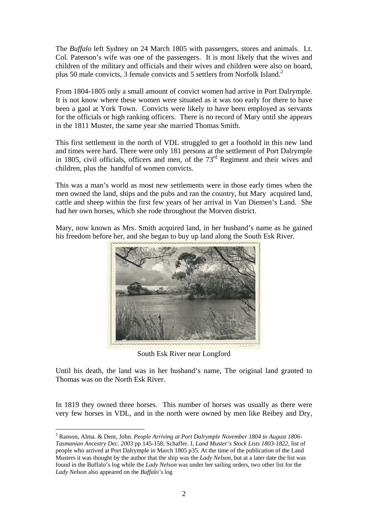The *Buffalo* left Sydney on 24 March 1805 with passengers, stores and animals. Lt. Col. Paterson's wife was one of the passengers. It is most likely that the wives and children of the military and officials and their wives and children were also on board, plus 50 male convicts, 3 female convicts and 5 settlers from Norfolk Island.<sup>2</sup>

From 1804-1805 only a small amount of convict women had arrive in Port Dalrymple. It is not know where these women were situated as it was too early for there to have been a gaol at York Town. Convicts were likely to have been employed as servants for the officials or high ranking officers. There is no record of Mary until she appears in the 1811 Muster, the same year she married Thomas Smith.

This first settlement in the north of VDL struggled to get a foothold in this new land and times were hard. There were only 181 persons at the settlement of Port Dalrymple in 1805, civil officials, officers and men, of the  $73<sup>rd</sup>$  Regiment and their wives and children, plus the handful of women convicts.

This was a man's world as most new settlements were in those early times when the men owned the land, ships and the pubs and ran the country, but Mary acquired land, cattle and sheep within the first few years of her arrival in Van Diemen's Land. She had her own horses, which she rode throughout the Morven district.

Mary, now known as Mrs. Smith acquired land, in her husband's name as he gained his freedom before her, and she began to buy up land along the South Esk River.



South Esk River near Longford

Until his death, the land was in her husband's name, The original land granted to Thomas was on the North Esk River.

In 1819 they owned three horses. This number of horses was usually as there were very few horses in VDL, and in the north were owned by men like Reibey and Dry,

<sup>1</sup> 2 Ranson, Alma. & Dent, John. *People Arriving at Port Dalrymple November 1804 to August 1806- Tasmanian Ancestry Dec. 2003* pp 145-158; Schaffer. I, *Land Muster's Stock Lists 1803-1822*, list of people who arrived at Port Dalrymple in March 1805 p35. At the time of the publication of the Land Musters it was thought by the author that the ship was the *Lady Nelson*, but at a later date the list was found in the Buffalo's log while the *Lady Nelson* was under her sailing orders, two other list for the *Lady Nelson* also appeared on the *Buffalo's* log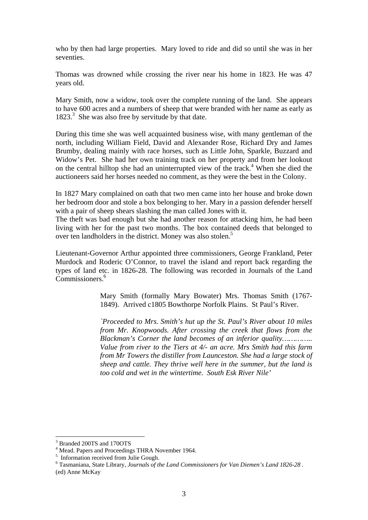who by then had large properties. Mary loved to ride and did so until she was in her seventies.

Thomas was drowned while crossing the river near his home in 1823. He was 47 years old.

Mary Smith, now a widow, took over the complete running of the land. She appears to have 600 acres and a numbers of sheep that were branded with her name as early as 1823.<sup>3</sup> She was also free by servitude by that date.

During this time she was well acquainted business wise, with many gentleman of the north, including William Field, David and Alexander Rose, Richard Dry and James Brumby, dealing mainly with race horses, such as Little John, Sparkle, Buzzard and Widow's Pet. She had her own training track on her property and from her lookout on the central hilltop she had an uninterrupted view of the track.<sup>4</sup> When she died the auctioneers said her horses needed no comment, as they were the best in the Colony.

In 1827 Mary complained on oath that two men came into her house and broke down her bedroom door and stole a box belonging to her. Mary in a passion defender herself with a pair of sheep shears slashing the man called Jones with it.

The theft was bad enough but she had another reason for attacking him, he had been living with her for the past two months. The box contained deeds that belonged to over ten landholders in the district. Money was also stolen.<sup>5</sup>

Lieutenant-Governor Arthur appointed three commissioners, George Frankland, Peter Murdock and Roderic O'Connor, to travel the island and report back regarding the types of land etc. in 1826-28. The following was recorded in Journals of the Land Commissioners.<sup>6</sup>

> Mary Smith (formally Mary Bowater) Mrs. Thomas Smith (1767- 1849). Arrived c1805 Bowthorpe Norfolk Plains. St Paul's River.

> *`Proceeded to Mrs. Smith's hut up the St. Paul's River about 10 miles from Mr. Knopwoods. After crossing the creek that flows from the Blackman's Corner the land becomes of an inferior quality………….. Value from river to the Tiers at 4/- an acre. Mrs Smith had this farm from Mr Towers the distiller from Launceston. She had a large stock of sheep and cattle. They thrive well here in the summer, but the land is too cold and wet in the wintertime. South Esk River Nile'*

<u>.</u>

<sup>3</sup> Branded 200TS and 170OTS

<sup>&</sup>lt;sup>4</sup> Mead. Papers and Proceedings THRA November 1964.<br><sup>5</sup> Information received from Julie Gough.

<sup>6</sup> Tasmaniana, State Library, *Journals of the Land Commissioners for Van Diemen's Land 1826-28 .* (ed) Anne McKay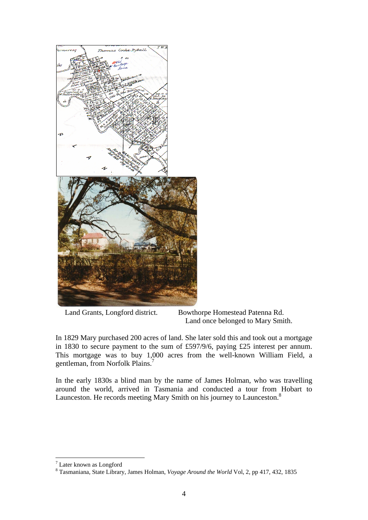

 Land Grants, Longford district. Bowthorpe Homestead Patenna Rd. Land once belonged to Mary Smith.

In 1829 Mary purchased 200 acres of land. She later sold this and took out a mortgage in 1830 to secure payment to the sum of £597/9/6, paying £25 interest per annum. This mortgage was to buy 1,000 acres from the well-known William Field, a gentleman, from Norfolk Plains.<sup>7</sup>

In the early 1830s a blind man by the name of James Holman, who was travelling around the world, arrived in Tasmania and conducted a tour from Hobart to Launceston. He records meeting Mary Smith on his journey to Launceston.<sup>8</sup>

<sup>&</sup>lt;u>.</u> 7 Later known as Longford

<sup>8</sup> Tasmaniana, State Library, James Holman, *Voyage Around the World* Vol, 2, pp 417, 432, 1835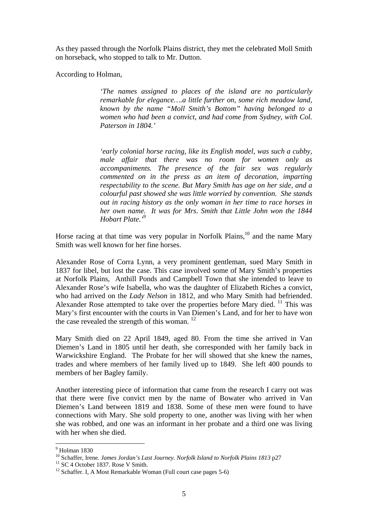As they passed through the Norfolk Plains district, they met the celebrated Moll Smith on horseback, who stopped to talk to Mr. Dutton.

According to Holman,

*'The names assigned to places of the island are no particularly remarkable for elegance….a little further on, some rich meadow land, known by the name "Moll Smith's Bottom" having belonged to a women who had been a convict, and had come from Sydney, with Col. Paterson in 1804.'* 

*'early colonial horse racing, like its English model, was such a cubby, male affair that there was no room for women only as accompaniments. The presence of the fair sex was regularly commented on in the press as an item of decoration, imparting respectability to the scene. But Mary Smith has age on her side, and a colourful past showed she was little worried by convention. She stands out in racing history as the only woman in her time to race horses in her own name. It was for Mrs. Smith that Little John won the 1844 Hobart Plate.'9*

Horse racing at that time was very popular in Norfolk Plains,<sup>10</sup> and the name Mary Smith was well known for her fine horses.

Alexander Rose of Corra Lynn, a very prominent gentleman, sued Mary Smith in 1837 for libel, but lost the case. This case involved some of Mary Smith's properties at Norfolk Plains, Anthill Ponds and Campbell Town that she intended to leave to Alexander Rose's wife Isabella, who was the daughter of Elizabeth Riches a convict, who had arrived on the *Lady Nelson* in 1812, and who Mary Smith had befriended. Alexander Rose attempted to take over the properties before Mary died.  $^{11}$  This was Mary's first encounter with the courts in Van Diemen's Land, and for her to have won the case revealed the strength of this woman.  $12$ 

Mary Smith died on 22 April 1849, aged 80. From the time she arrived in Van Diemen's Land in 1805 until her death, she corresponded with her family back in Warwickshire England. The Probate for her will showed that she knew the names, trades and where members of her family lived up to 1849. She left 400 pounds to members of her Bagley family.

Another interesting piece of information that came from the research I carry out was that there were five convict men by the name of Bowater who arrived in Van Diemen's Land between 1819 and 1838. Some of these men were found to have connections with Mary. She sold property to one, another was living with her when she was robbed, and one was an informant in her probate and a third one was living with her when she died.

1

<sup>9</sup> Holman 1830

<sup>10</sup> Schaffer, Irene. *James Jordan's Last Journey. Norfolk Island to Norfolk Plains 1813* p27<br><sup>11</sup> SC 4 October 1837. Rose V Smith.

 $12$  Schaffer. I, A Most Remarkable Woman (Full court case pages 5-6)